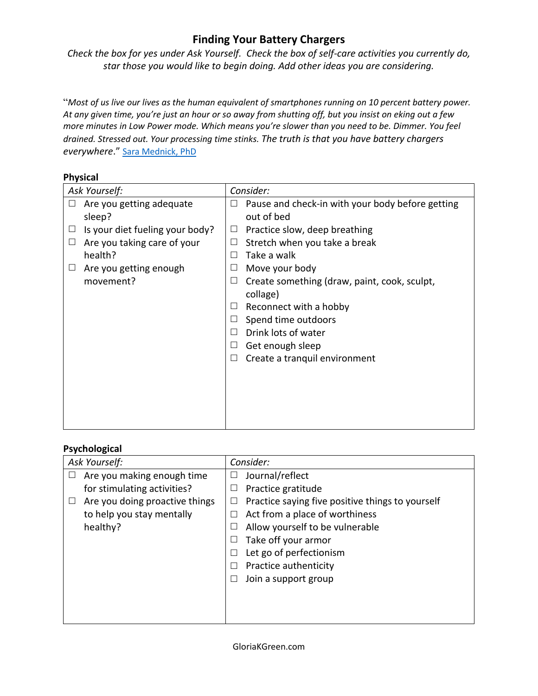## **Finding Your Battery Chargers**

*Check the box for yes under Ask Yourself. Check the box of self-care activities you currently do, star those you would like to begin doing. Add other ideas you are considering.*

"*Most of us live our lives as the human equivalent of smartphones running on 10 percent battery power. At any given time, you're just an hour or so away from shutting off, but you insist on eking out a few more minutes in Low Power mode. Which means you're slower than you need to be. Dimmer. You feel drained. Stressed out. Your processing time stinks. The truth is that you have battery chargers everywhere*." [Sara Mednick, PhD](https://www.saramednick.com/)

| Ask Yourself:                         | Consider:                                             |
|---------------------------------------|-------------------------------------------------------|
| Are you getting adequate<br>ப         | Pause and check-in with your body before getting<br>⊔ |
| sleep?                                | out of bed                                            |
| Is your diet fueling your body?<br>Ц  | Practice slow, deep breathing<br>Ц                    |
| Are you taking care of your<br>$\Box$ | Stretch when you take a break<br>$\Box$               |
| health?                               | Take a walk<br>$\Box$                                 |
| Are you getting enough<br>Ц           | Move your body<br>⊔                                   |
| movement?                             | Create something (draw, paint, cook, sculpt,<br>⊔     |
|                                       | collage)                                              |
|                                       | Reconnect with a hobby<br>⊔                           |
|                                       | Spend time outdoors                                   |
|                                       | Drink lots of water<br>$\Box$                         |
|                                       | Get enough sleep                                      |
|                                       | Create a tranquil environment                         |
|                                       |                                                       |
|                                       |                                                       |
|                                       |                                                       |
|                                       |                                                       |
|                                       |                                                       |

#### **Psychological**

| Ask Yourself:                       | Consider:                                        |
|-------------------------------------|--------------------------------------------------|
| Are you making enough time          | Journal/reflect                                  |
| for stimulating activities?         | Practice gratitude                               |
| Are you doing proactive things<br>ப | Practice saying five positive things to yourself |
| to help you stay mentally           | Act from a place of worthiness                   |
| healthy?                            | Allow yourself to be vulnerable                  |
|                                     | Take off your armor                              |
|                                     | Let go of perfectionism                          |
|                                     | Practice authenticity                            |
|                                     | Join a support group                             |
|                                     |                                                  |
|                                     |                                                  |
|                                     |                                                  |